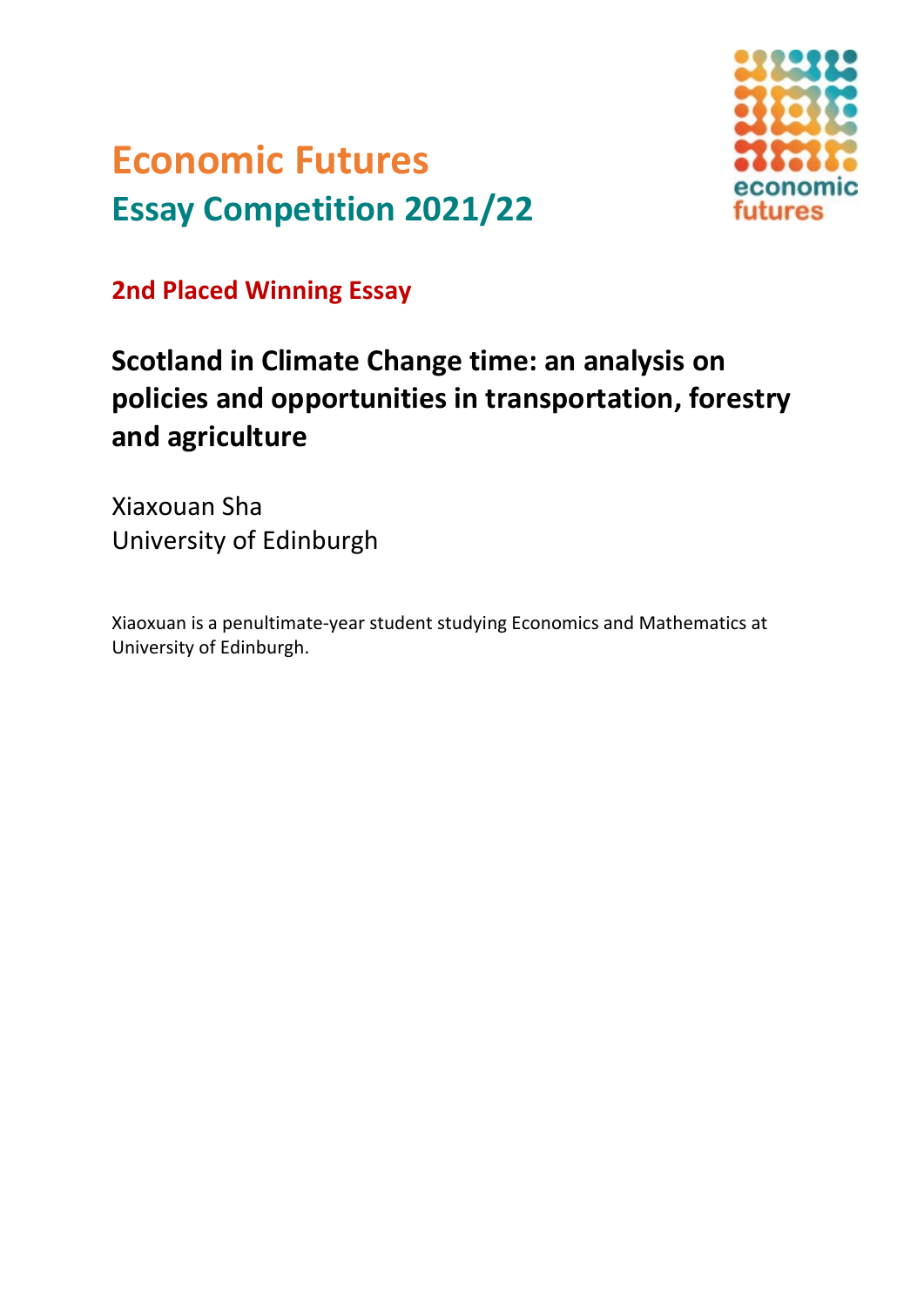# **Economic Futures Essay Competition 2021/22**



**2nd Placed Winning Essay**

## **Scotland in Climate Change time: an analysis on policies and opportunities in transportation, forestry and agriculture**

Xiaxouan Sha University of Edinburgh

Xiaoxuan is a penultimate-year student studying Economics and Mathematics at University of Edinburgh.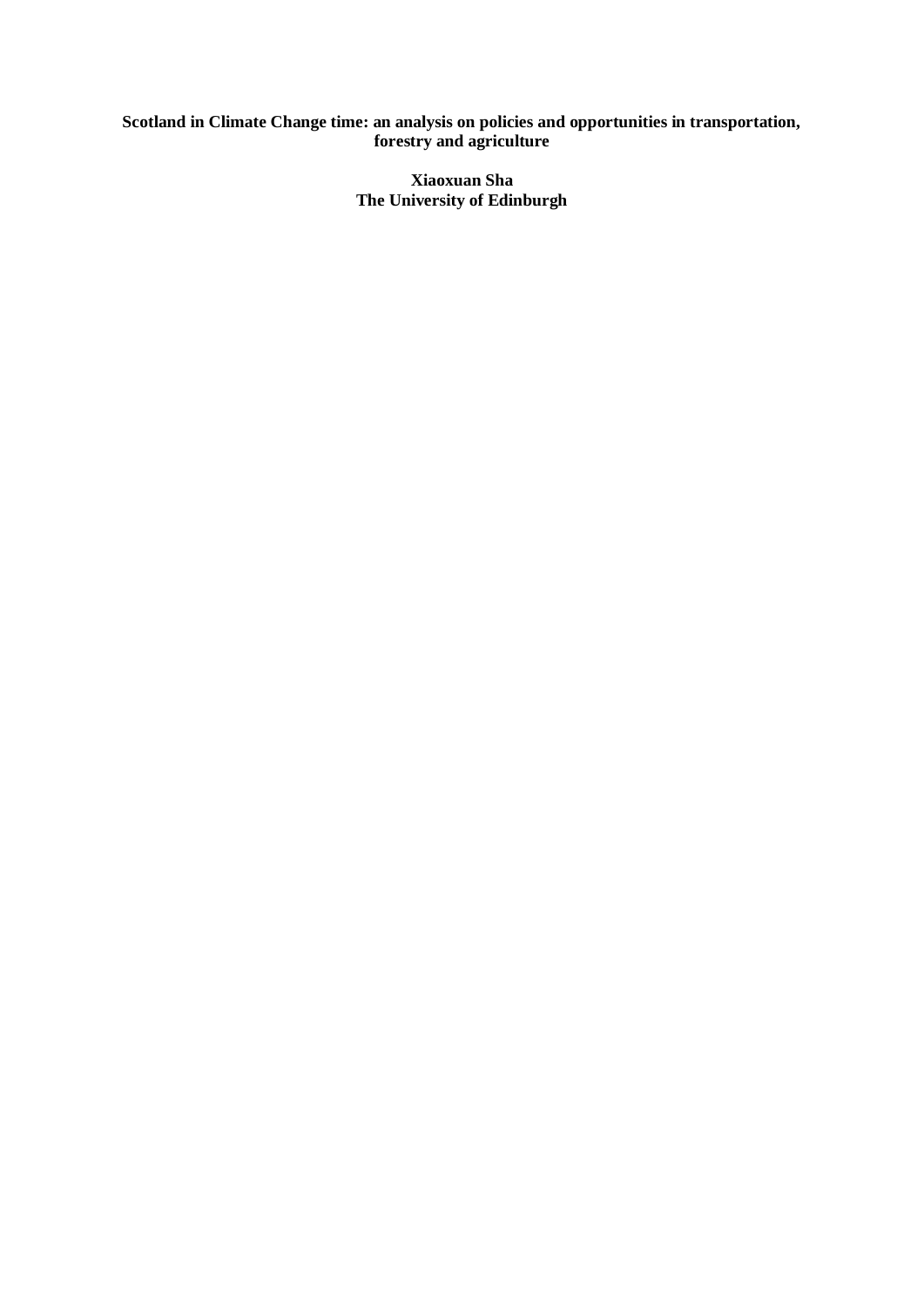#### **Scotland in Climate Change time: an analysis on policies and opportunities in transportation, forestry and agriculture**

**Xiaoxuan Sha The University of Edinburgh**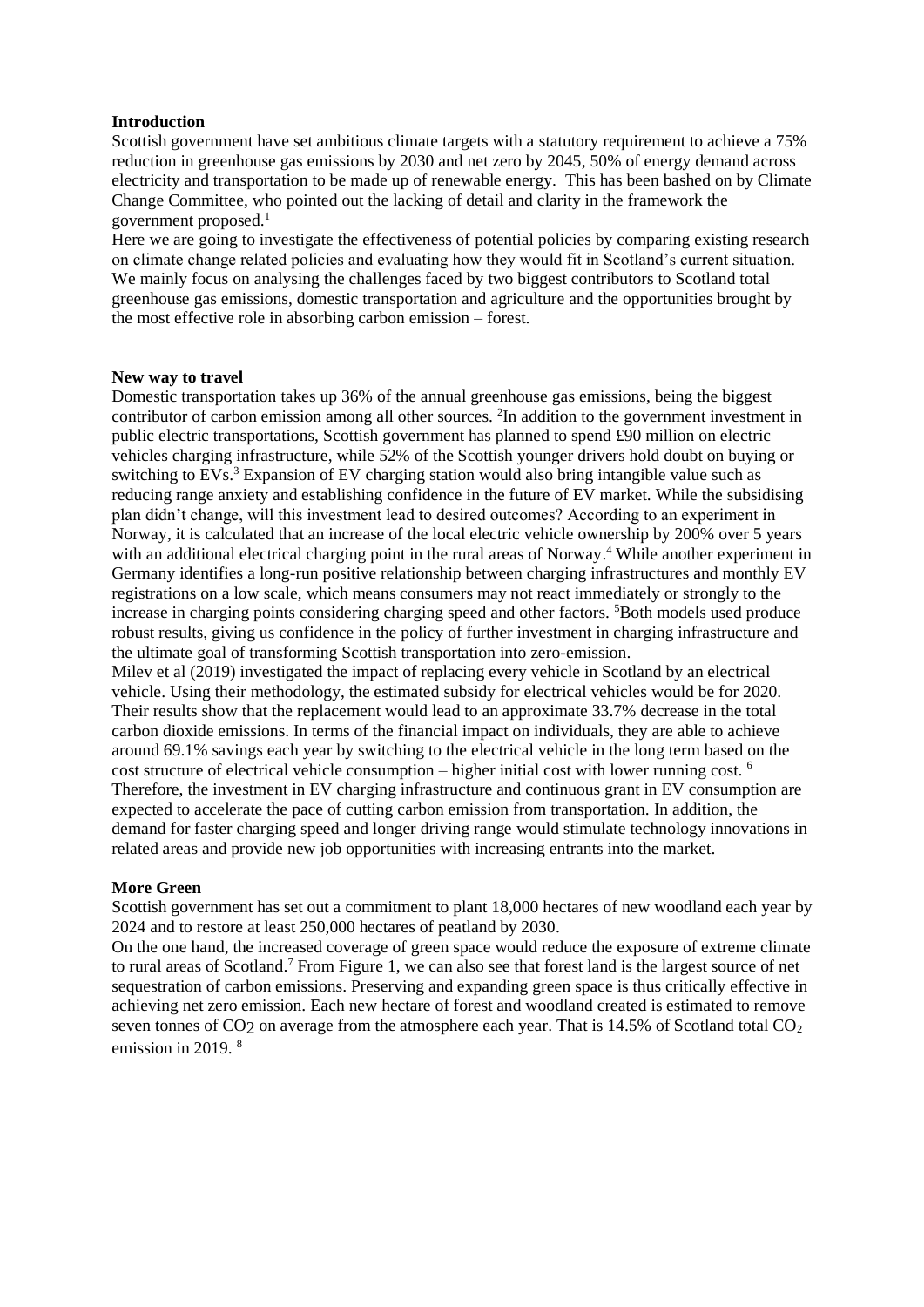#### **Introduction**

Scottish government have set ambitious climate targets with a statutory requirement to achieve a 75% reduction in greenhouse gas emissions by 2030 and net zero by 2045, 50% of energy demand across electricity and transportation to be made up of renewable energy. This has been bashed on by Climate Change Committee, who pointed out the lacking of detail and clarity in the framework the government proposed.<sup>1</sup>

Here we are going to investigate the effectiveness of potential policies by comparing existing research on climate change related policies and evaluating how they would fit in Scotland's current situation. We mainly focus on analysing the challenges faced by two biggest contributors to Scotland total greenhouse gas emissions, domestic transportation and agriculture and the opportunities brought by the most effective role in absorbing carbon emission – forest.

#### **New way to travel**

Domestic transportation takes up 36% of the annual greenhouse gas emissions, being the biggest contributor of carbon emission among all other sources. <sup>2</sup>In addition to the government investment in public electric transportations, Scottish government has planned to spend £90 million on electric vehicles charging infrastructure, while 52% of the Scottish younger drivers hold doubt on buying or switching to EVs.<sup>3</sup> Expansion of EV charging station would also bring intangible value such as reducing range anxiety and establishing confidence in the future of EV market. While the subsidising plan didn't change, will this investment lead to desired outcomes? According to an experiment in Norway, it is calculated that an increase of the local electric vehicle ownership by 200% over 5 years with an additional electrical charging point in the rural areas of Norway.<sup>4</sup> While another experiment in Germany identifies a long-run positive relationship between charging infrastructures and monthly EV registrations on a low scale, which means consumers may not react immediately or strongly to the increase in charging points considering charging speed and other factors. <sup>5</sup>Both models used produce robust results, giving us confidence in the policy of further investment in charging infrastructure and the ultimate goal of transforming Scottish transportation into zero-emission.

Milev et al (2019) investigated the impact of replacing every vehicle in Scotland by an electrical vehicle. Using their methodology, the estimated subsidy for electrical vehicles would be for 2020. Their results show that the replacement would lead to an approximate 33.7% decrease in the total carbon dioxide emissions. In terms of the financial impact on individuals, they are able to achieve around 69.1% savings each year by switching to the electrical vehicle in the long term based on the cost structure of electrical vehicle consumption – higher initial cost with lower running cost. <sup>6</sup> Therefore, the investment in EV charging infrastructure and continuous grant in EV consumption are expected to accelerate the pace of cutting carbon emission from transportation. In addition, the demand for faster charging speed and longer driving range would stimulate technology innovations in related areas and provide new job opportunities with increasing entrants into the market.

#### **More Green**

Scottish government has set out a commitment to plant 18,000 hectares of new woodland each year by 2024 and to restore at least 250,000 hectares of peatland by 2030.

On the one hand, the increased coverage of green space would reduce the exposure of extreme climate to rural areas of Scotland.<sup>7</sup> From Figure 1, we can also see that forest land is the largest source of net sequestration of carbon emissions. Preserving and expanding green space is thus critically effective in achieving net zero emission. Each new hectare of forest and woodland created is estimated to remove seven tonnes of  $CO<sub>2</sub>$  on average from the atmosphere each year. That is 14.5% of Scotland total  $CO<sub>2</sub>$ emission in 2019. 8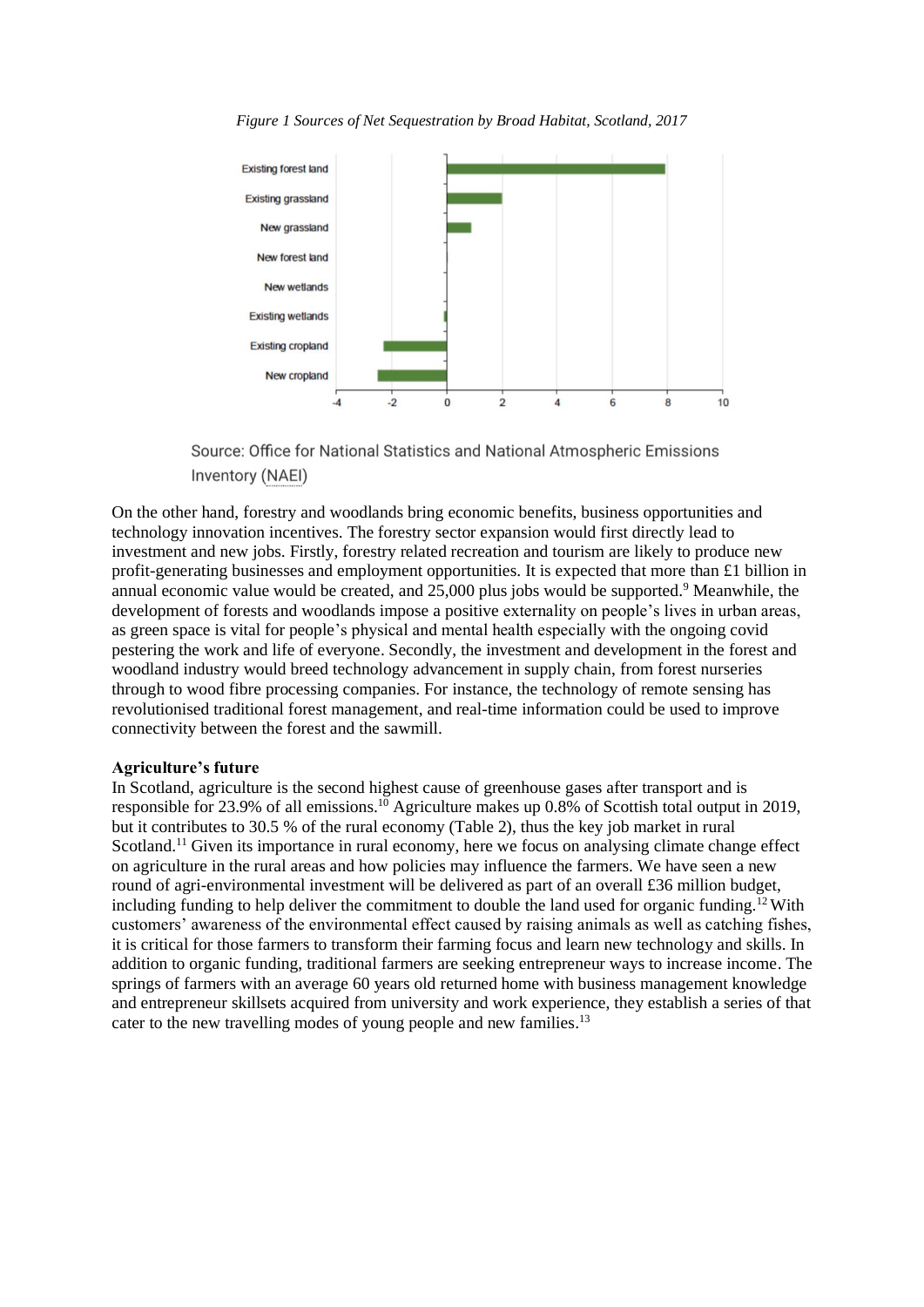

*Figure 1 Sources of Net Sequestration by Broad Habitat, Scotland, 2017*

Source: Office for National Statistics and National Atmospheric Emissions Inventory (NAEI)

On the other hand, forestry and woodlands bring economic benefits, business opportunities and technology innovation incentives. The forestry sector expansion would first directly lead to investment and new jobs. Firstly, forestry related recreation and tourism are likely to produce new profit-generating businesses and employment opportunities. It is expected that more than £1 billion in annual economic value would be created, and 25,000 plus jobs would be supported.<sup>9</sup> Meanwhile, the development of forests and woodlands impose a positive externality on people's lives in urban areas, as green space is vital for people's physical and mental health especially with the ongoing covid pestering the work and life of everyone. Secondly, the investment and development in the forest and woodland industry would breed technology advancement in supply chain, from forest nurseries through to wood fibre processing companies. For instance, the technology of remote sensing has revolutionised traditional forest management, and real-time information could be used to improve connectivity between the forest and the sawmill.

#### **Agriculture's future**

In Scotland, agriculture is the second highest cause of greenhouse gases after transport and is responsible for 23.9% of all emissions.<sup>10</sup> Agriculture makes up 0.8% of Scottish total output in 2019, but it contributes to 30.5 % of the rural economy (Table 2), thus the key job market in rural Scotland.<sup>11</sup> Given its importance in rural economy, here we focus on analysing climate change effect on agriculture in the rural areas and how policies may influence the farmers. We have seen a new round of agri-environmental investment will be delivered as part of an overall £36 million budget, including funding to help deliver the commitment to double the land used for organic funding.<sup>12</sup> With customers' awareness of the environmental effect caused by raising animals as well as catching fishes, it is critical for those farmers to transform their farming focus and learn new technology and skills. In addition to organic funding, traditional farmers are seeking entrepreneur ways to increase income. The springs of farmers with an average 60 years old returned home with business management knowledge and entrepreneur skillsets acquired from university and work experience, they establish a series of that cater to the new travelling modes of young people and new families.<sup>13</sup>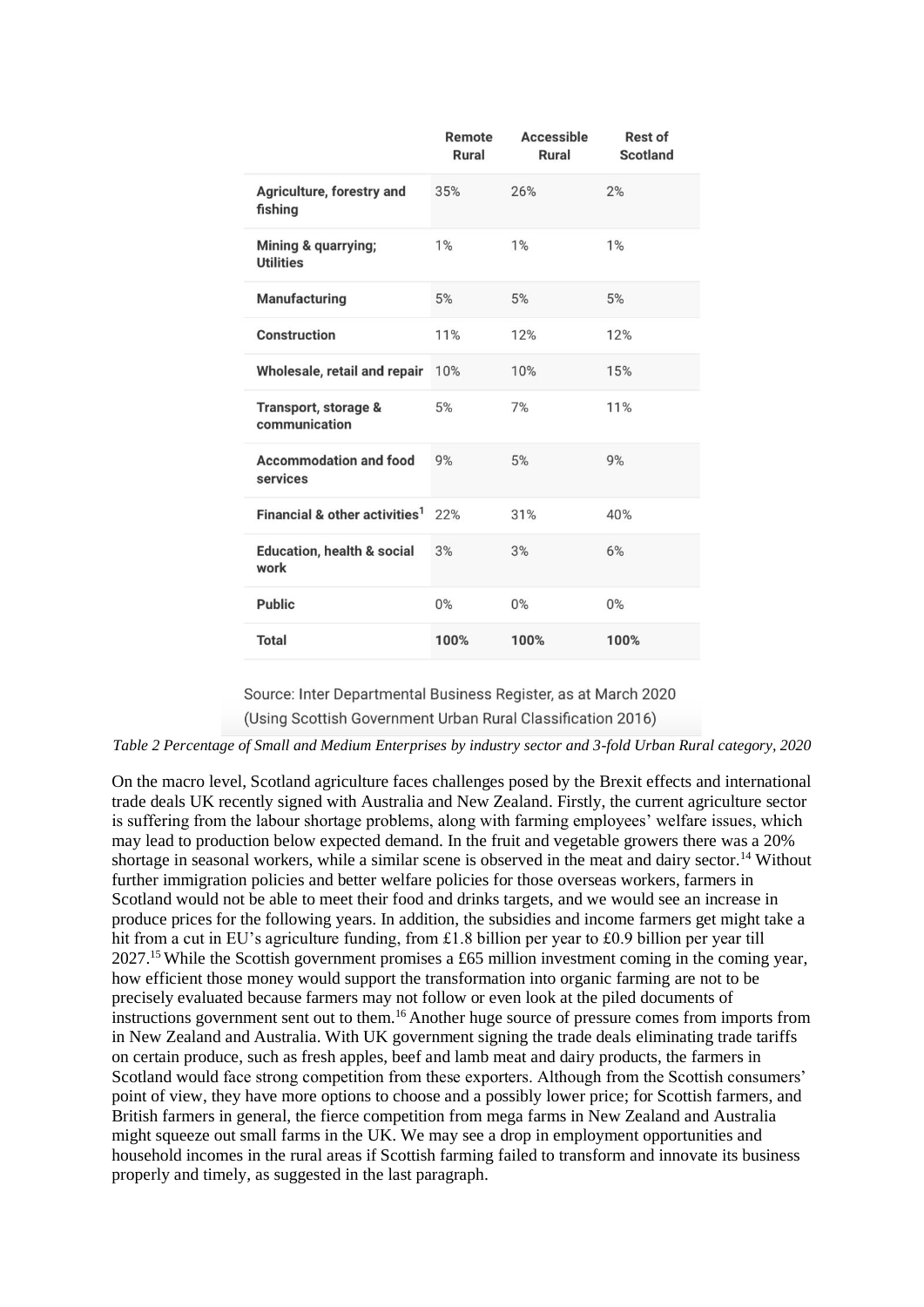|                                               | Remote<br>Rural | Accessible<br>Rural | <b>Rest of</b><br>Scotland |
|-----------------------------------------------|-----------------|---------------------|----------------------------|
| Agriculture, forestry and<br>fishing          | 35%             | 26%                 | 2%                         |
| Mining & quarrying;<br><b>Utilities</b>       | 1%              | 1%                  | 1%                         |
| <b>Manufacturing</b>                          | 5%              | 5%                  | 5%                         |
| Construction                                  | 11%             | 12%                 | 12%                        |
| Wholesale, retail and repair                  | 10%             | 10%                 | 15%                        |
| Transport, storage &<br>communication         | 5%              | 7%                  | 11%                        |
| <b>Accommodation and food</b><br>services     | 9%              | 5%                  | 9%                         |
| Financial & other activities <sup>1</sup>     | 22%             | 31%                 | 40%                        |
| <b>Education, health &amp; social</b><br>work | 3%              | 3%                  | 6%                         |
| <b>Public</b>                                 | $0\%$           | $0\%$               | $0\%$                      |
| <b>Total</b>                                  | 100%            | 100%                | 100%                       |

Source: Inter Departmental Business Register, as at March 2020 (Using Scottish Government Urban Rural Classification 2016)

*Table 2 Percentage of Small and Medium Enterprises by industry sector and 3-fold Urban Rural category, 2020*

On the macro level, Scotland agriculture faces challenges posed by the Brexit effects and international trade deals UK recently signed with Australia and New Zealand. Firstly, the current agriculture sector is suffering from the labour shortage problems, along with farming employees' welfare issues, which may lead to production below expected demand. In the fruit and vegetable growers there was a 20% shortage in seasonal workers, while a similar scene is observed in the meat and dairy sector.<sup>14</sup> Without further immigration policies and better welfare policies for those overseas workers, farmers in Scotland would not be able to meet their food and drinks targets, and we would see an increase in produce prices for the following years. In addition, the subsidies and income farmers get might take a hit from a cut in EU's agriculture funding, from £1.8 billion per year to £0.9 billion per year till 2027.<sup>15</sup>While the Scottish government promises a £65 million investment coming in the coming year, how efficient those money would support the transformation into organic farming are not to be precisely evaluated because farmers may not follow or even look at the piled documents of instructions government sent out to them.<sup>16</sup> Another huge source of pressure comes from imports from in New Zealand and Australia. With UK government signing the trade deals eliminating trade tariffs on certain produce, such as fresh apples, beef and lamb meat and dairy products, the farmers in Scotland would face strong competition from these exporters. Although from the Scottish consumers' point of view, they have more options to choose and a possibly lower price; for Scottish farmers, and British farmers in general, the fierce competition from mega farms in New Zealand and Australia might squeeze out small farms in the UK. We may see a drop in employment opportunities and household incomes in the rural areas if Scottish farming failed to transform and innovate its business properly and timely, as suggested in the last paragraph.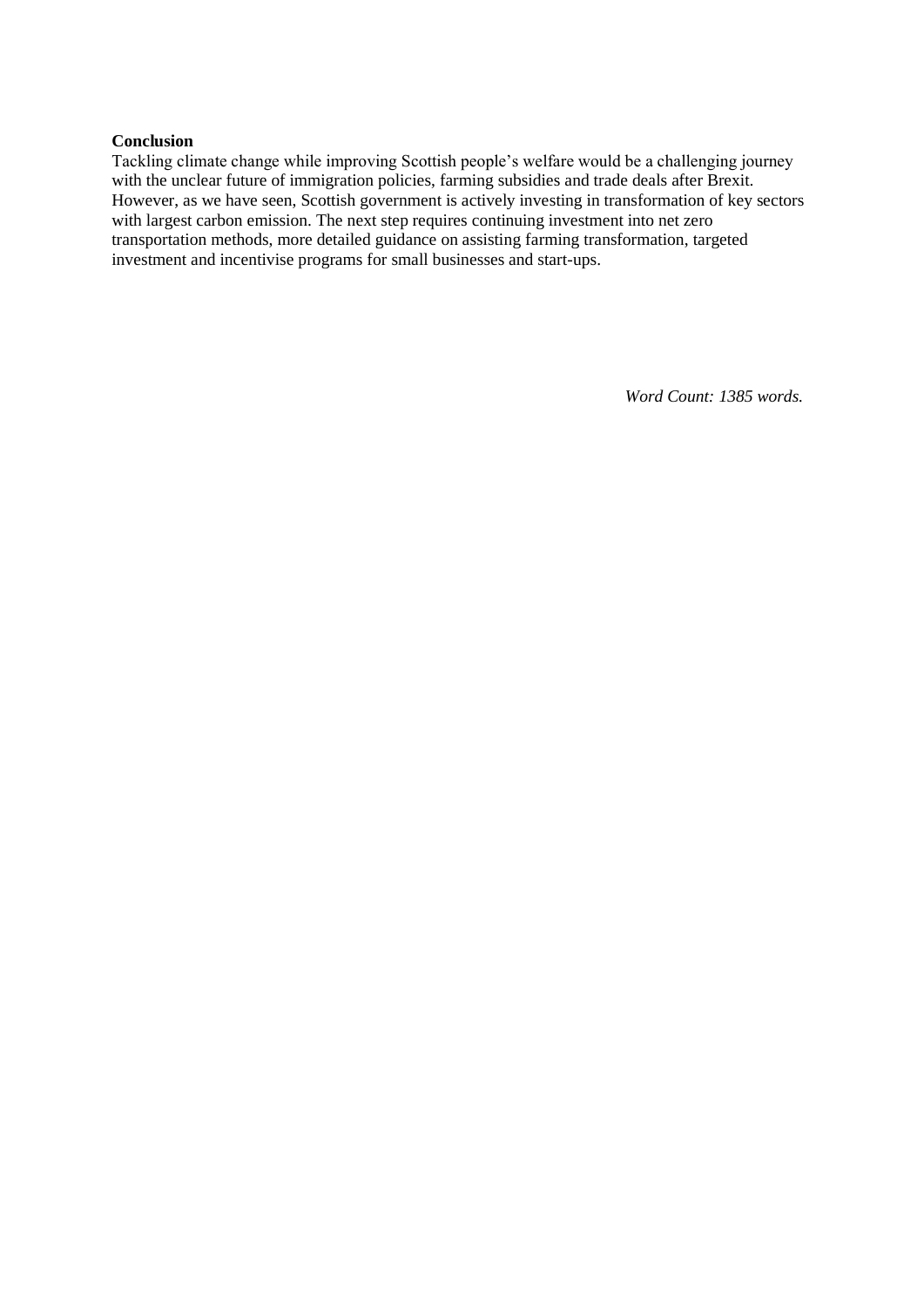#### **Conclusion**

Tackling climate change while improving Scottish people's welfare would be a challenging journey with the unclear future of immigration policies, farming subsidies and trade deals after Brexit. However, as we have seen, Scottish government is actively investing in transformation of key sectors with largest carbon emission. The next step requires continuing investment into net zero transportation methods, more detailed guidance on assisting farming transformation, targeted investment and incentivise programs for small businesses and start-ups.

*Word Count: 1385 words.*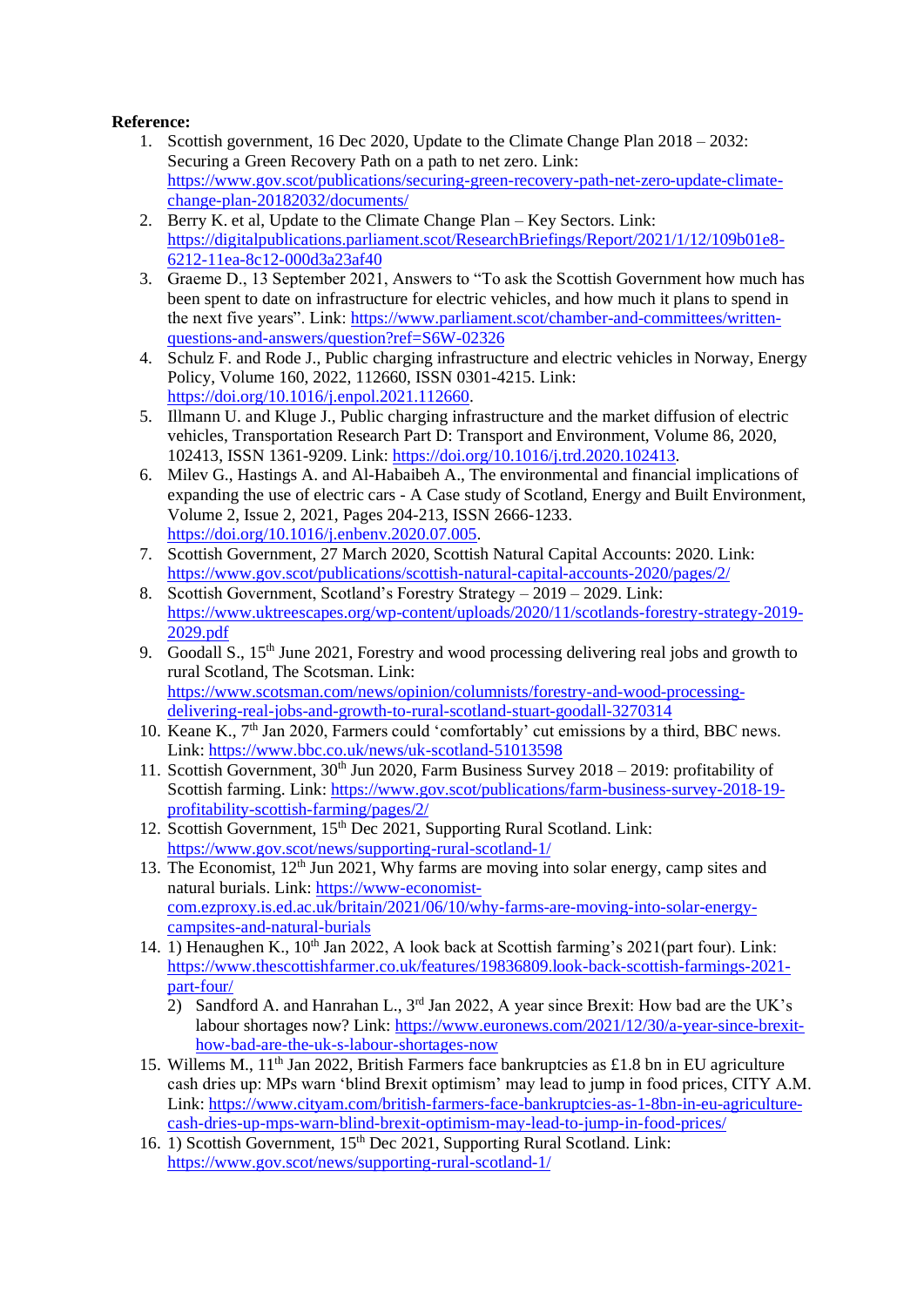### **Reference:**

- 1. Scottish government, 16 Dec 2020, Update to the Climate Change Plan 2018 2032: Securing a Green Recovery Path on a path to net zero. Link: [https://www.gov.scot/publications/securing-green-recovery-path-net-zero-update-climate](https://www.gov.scot/publications/securing-green-recovery-path-net-zero-update-climate-change-plan-20182032/documents/)[change-plan-20182032/documents/](https://www.gov.scot/publications/securing-green-recovery-path-net-zero-update-climate-change-plan-20182032/documents/)
- 2. Berry K. et al, Update to the Climate Change Plan Key Sectors. Link: [https://digitalpublications.parliament.scot/ResearchBriefings/Report/2021/1/12/109b01e8-](https://digitalpublications.parliament.scot/ResearchBriefings/Report/2021/1/12/109b01e8-6212-11ea-8c12-000d3a23af40) [6212-11ea-8c12-000d3a23af40](https://digitalpublications.parliament.scot/ResearchBriefings/Report/2021/1/12/109b01e8-6212-11ea-8c12-000d3a23af40)
- 3. Graeme D., 13 September 2021, Answers to "To ask the Scottish Government how much has been spent to date on infrastructure for electric vehicles, and how much it plans to spend in the next five years". Link: [https://www.parliament.scot/chamber-and-committees/written](https://www.parliament.scot/chamber-and-committees/written-questions-and-answers/question?ref=S6W-02326)[questions-and-answers/question?ref=S6W-02326](https://www.parliament.scot/chamber-and-committees/written-questions-and-answers/question?ref=S6W-02326)
- 4. Schulz F. and Rode J., Public charging infrastructure and electric vehicles in Norway, Energy Policy, Volume 160, 2022, 112660, ISSN 0301-4215. Link: [https://doi.org/10.1016/j.enpol.2021.112660.](https://doi.org/10.1016/j.enpol.2021.112660)
- 5. Illmann U. and Kluge J., Public charging infrastructure and the market diffusion of electric vehicles, Transportation Research Part D: Transport and Environment, Volume 86, 2020, 102413, ISSN 1361-9209. Link: [https://doi.org/10.1016/j.trd.2020.102413.](https://doi.org/10.1016/j.trd.2020.102413)
- 6. Milev G., Hastings A. and Al-Habaibeh A., The environmental and financial implications of expanding the use of electric cars - A Case study of Scotland, Energy and Built Environment, Volume 2, Issue 2, 2021, Pages 204-213, ISSN 2666-1233. [https://doi.org/10.1016/j.enbenv.2020.07.005.](https://doi.org/10.1016/j.enbenv.2020.07.005)
- 7. Scottish Government, 27 March 2020, Scottish Natural Capital Accounts: 2020. Link: <https://www.gov.scot/publications/scottish-natural-capital-accounts-2020/pages/2/>
- 8. Scottish Government, Scotland's Forestry Strategy 2019 2029. Link: [https://www.uktreescapes.org/wp-content/uploads/2020/11/scotlands-forestry-strategy-2019-](https://www.uktreescapes.org/wp-content/uploads/2020/11/scotlands-forestry-strategy-2019-2029.pdf) [2029.pdf](https://www.uktreescapes.org/wp-content/uploads/2020/11/scotlands-forestry-strategy-2019-2029.pdf)
- 9. Goodall S., 15<sup>th</sup> June 2021, Forestry and wood processing delivering real jobs and growth to rural Scotland, The Scotsman. Link: [https://www.scotsman.com/news/opinion/columnists/forestry-and-wood-processing](https://www.scotsman.com/news/opinion/columnists/forestry-and-wood-processing-delivering-real-jobs-and-growth-to-rural-scotland-stuart-goodall-3270314)[delivering-real-jobs-and-growth-to-rural-scotland-stuart-goodall-3270314](https://www.scotsman.com/news/opinion/columnists/forestry-and-wood-processing-delivering-real-jobs-and-growth-to-rural-scotland-stuart-goodall-3270314)
- 10. Keane K., 7<sup>th</sup> Jan 2020, Farmers could 'comfortably' cut emissions by a third, BBC news. Link:<https://www.bbc.co.uk/news/uk-scotland-51013598>
- 11. Scottish Government, 30<sup>th</sup> Jun 2020, Farm Business Survey 2018 2019: profitability of Scottish farming. Link: [https://www.gov.scot/publications/farm-business-survey-2018-19](https://www.gov.scot/publications/farm-business-survey-2018-19-profitability-scottish-farming/pages/2/) [profitability-scottish-farming/pages/2/](https://www.gov.scot/publications/farm-business-survey-2018-19-profitability-scottish-farming/pages/2/)
- 12. Scottish Government, 15<sup>th</sup> Dec 2021, Supporting Rural Scotland. Link: <https://www.gov.scot/news/supporting-rural-scotland-1/>
- 13. The Economist,  $12<sup>th</sup>$  Jun 2021, Why farms are moving into solar energy, camp sites and natural burials. Link: [https://www-economist](https://www-economist-com.ezproxy.is.ed.ac.uk/britain/2021/06/10/why-farms-are-moving-into-solar-energy-campsites-and-natural-burials)[com.ezproxy.is.ed.ac.uk/britain/2021/06/10/why-farms-are-moving-into-solar-energy](https://www-economist-com.ezproxy.is.ed.ac.uk/britain/2021/06/10/why-farms-are-moving-into-solar-energy-campsites-and-natural-burials)[campsites-and-natural-burials](https://www-economist-com.ezproxy.is.ed.ac.uk/britain/2021/06/10/why-farms-are-moving-into-solar-energy-campsites-and-natural-burials)
- 14. 1) Henaughen K.,  $10^{th}$  Jan 2022, A look back at Scottish farming's 2021(part four). Link: [https://www.thescottishfarmer.co.uk/features/19836809.look-back-scottish-farmings-2021](https://www.thescottishfarmer.co.uk/features/19836809.look-back-scottish-farmings-2021-part-four/) [part-four/](https://www.thescottishfarmer.co.uk/features/19836809.look-back-scottish-farmings-2021-part-four/)
	- 2) Sandford A. and Hanrahan L., 3<sup>rd</sup> Jan 2022, A year since Brexit: How bad are the UK's labour shortages now? Link: [https://www.euronews.com/2021/12/30/a-year-since-brexit](https://www.euronews.com/2021/12/30/a-year-since-brexit-how-bad-are-the-uk-s-labour-shortages-now)[how-bad-are-the-uk-s-labour-shortages-now](https://www.euronews.com/2021/12/30/a-year-since-brexit-how-bad-are-the-uk-s-labour-shortages-now)
- 15. Willems M., 11<sup>th</sup> Jan 2022, British Farmers face bankruptcies as £1.8 bn in EU agriculture cash dries up: MPs warn 'blind Brexit optimism' may lead to jump in food prices, CITY A.M. Link: [https://www.cityam.com/british-farmers-face-bankruptcies-as-1-8bn-in-eu-agriculture](https://www.cityam.com/british-farmers-face-bankruptcies-as-1-8bn-in-eu-agriculture-cash-dries-up-mps-warn-blind-brexit-optimism-may-lead-to-jump-in-food-prices/)[cash-dries-up-mps-warn-blind-brexit-optimism-may-lead-to-jump-in-food-prices/](https://www.cityam.com/british-farmers-face-bankruptcies-as-1-8bn-in-eu-agriculture-cash-dries-up-mps-warn-blind-brexit-optimism-may-lead-to-jump-in-food-prices/)
- 16. 1) Scottish Government, 15<sup>th</sup> Dec 2021, Supporting Rural Scotland. Link: <https://www.gov.scot/news/supporting-rural-scotland-1/>